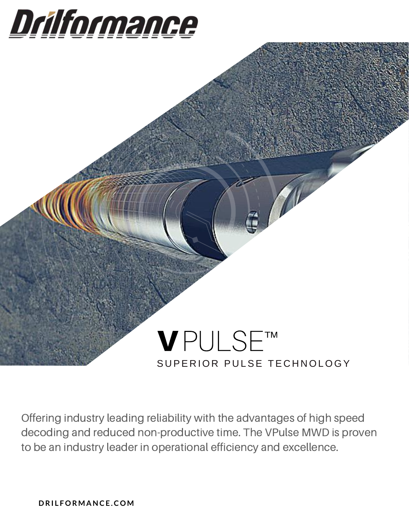## Drilformance

### V PULSE™SUPERIOR PULSE TECHNOLOGY

Offering industry leading reliability with the advantages of high speed decoding and reduced non-productive time. The VPulse MWD is proven to be an industry leader in operational efficiency and excellence.